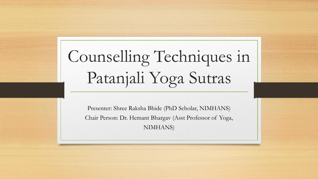# Counselling Techniques in Patanjali Yoga Sutras

Presenter: Shree Raksha Bhide (PhD Scholar, NIMHANS) Chair Person: Dr. Hemant Bhargav (Asst Professor of Yoga, NIMHANS)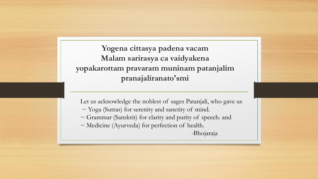**Yogena cittasya padena vacam Malam sarirasya ca vaidyakena yopakarottam pravaram muninam patanjalim pranajaliranato'smi**

Let us acknowledge the noblest of sages Patanjali, who gave us ~ Yoga (Sutras) for serenity and sanctity of mind. ~ Grammar (Sanskrit) for clarity and purity of speech. and ~ Medicine (Ayurveda) for perfection of health. -Bhojaraja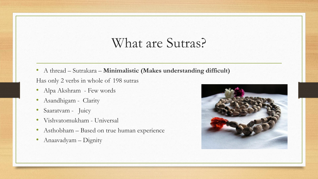#### What are Sutras?

- A thread Sutrakara **Minimalistic (Makes understanding difficult)** Has only 2 verbs in whole of 198 sutras
- Alpa Akshram Few words
- Asandhigam Clarity
- Saaratvam Juicy
- Vishvatomukham Universal
- Asthobham Based on true human experience
- Anaavadyam Dignity

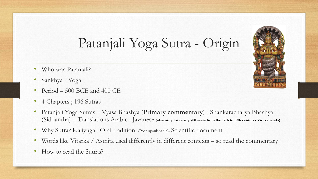## Patanjali Yoga Sutra - Origin

- Who was Patanjali?
- Sankhya Yoga
- Period  $-500$  BCE and 400 CE
- 4 Chapters ; 196 Sutras
- Patanjali Yoga Sutras Vyasa Bhashya (**Primary commentary**) Shankaracharya Bhashya (Siddantha) – Translations Arabic –Javanese (**obscurity for nearly 700 years from the 12th to 19th century- Vivekananda)**
- Why Sutra? Kaliyuga , Oral tradition, (Post upanishadic)- Scientific document
- Words like Vitarka / Asmita used differently in different contexts so read the commentary
- How to read the Sutras?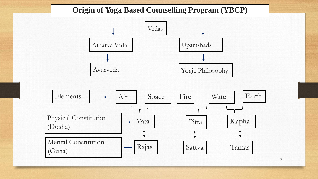#### **Origin of Yoga Based Counselling Program (YBCP)**

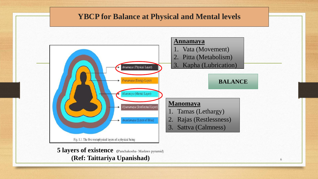#### **YBCP for Balance at Physical and Mental levels**



**5 layers of existence (**Panchakosha- Maslaws pyramid) **(Ref: Taittariya Upanishad)**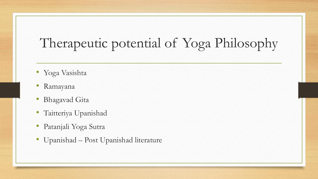# Therapeutic potential of Yoga Philosophy

- Yoga Vasishta
- Ramayana
- Bhagavad Gita
- Taitteriya Upanishad
- Patanjali Yoga Sutra
- Upanishad Post Upanishad literature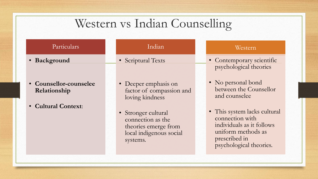### Western vs Indian Counselling

| Particulars                            | Indian                                                                                                  | Western                                                                                                                                        |
|----------------------------------------|---------------------------------------------------------------------------------------------------------|------------------------------------------------------------------------------------------------------------------------------------------------|
| • Background                           | • Scriptural Texts                                                                                      | • Contemporary scientific<br>psychological theories                                                                                            |
| • Counsellor-counselee<br>Relationship | • Deeper emphasis on<br>factor of compassion and<br>loving kindness                                     | • No personal bond<br>between the Counsellor<br>and counselee                                                                                  |
| • Cultural Context:                    | • Stronger cultural<br>connection as the<br>theories emerge from<br>local indigenous social<br>systems. | • This system lacks cultural<br>connection with<br>individuals as it follows<br>uniform methods as<br>prescribed in<br>psychological theories. |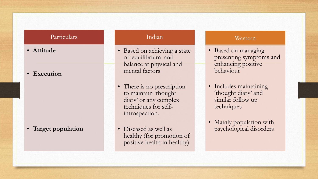#### Particulars

- **Attitude**
- **Execution**

• **Target population**

#### Indian

- Based on achieving a state of equilibrium and balance at physical and mental factors
- There is no prescription to maintain 'thought diary' or any complex techniques for selfintrospection.
- Diseased as well as healthy (for promotion of positive health in healthy)

#### Western

- Based on managing presenting symptoms and enhancing positive behaviour
- Includes maintaining 'thought diary' and similar follow up techniques
- Mainly population with psychological disorders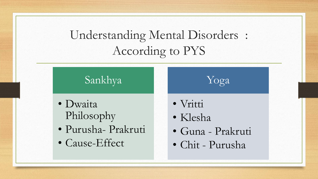### Understanding Mental Disorders : According to PYS

#### Sankhya

- Dwaita Philosophy
- Purusha- Prakruti
- Cause-Effect
- Vritti
- Klesha
- Guna Prakruti

Yoga

• Chit - Purusha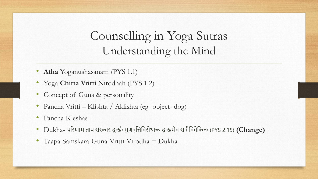#### Counselling in Yoga Sutras Understanding the Mind

- **Atha** Yoganushasanam (PYS 1.1)
- Yoga **Chitta Vritti** Nirodhah (PYS 1.2)
- Concept of Guna & personality
- Pancha Vritti Klishta / Aklishta (eg- object- dog)
- Pancha Kleshas
- Dukha- परिणाम ताप संस्कार दुःखैः गुणवृत्तिविरोधाच्च दुःखमेव सर्वं विवेकिनः (PYS 2.15) **(Change)**
- Taapa-Samskara-Guna-Vritti-Virodha = Dukha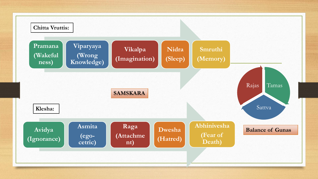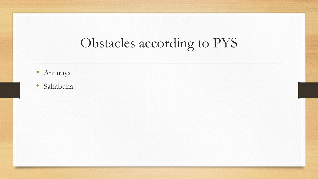# Obstacles according to PYS

- Antaraya
- Sahabuha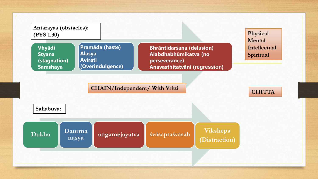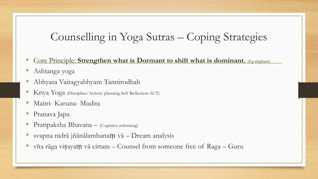#### Counselling in Yoga Sutras – Coping Strategies

- Core Principle: Strengthen what is Dormant to shift what is dominant. **(Eg-elephant)**
- Ashtanga yoga
- Abhyasa Vairagyabhyam Tannirodhah
- Kriya Yoga (Discipline/Activity planning-Self Reflection-ACT)
- Maitri- Karuna- Mudita
- Pranava Japa
- Pratipaksha Bhavana (Cognitive reframing)
- svapna nidrā jñānālambanaṃ vā Dream analysis
- vīta rāga viṣayaṃ vā cittam Counsel from someone free of Raga Guru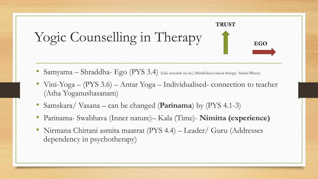

- Samyama Shraddha- Ego (PYS 3.4) (Like research we do) (Mindfulness based therapy- Sakshi Bhava)
- Vini-Yoga (PYS 3.6) Antar Yoga Individualised- connection to teacher (Atha Yoganushasanam)
- Samskara/ Vasana can be changed (**Parinama**) by (PYS 4.1-3)
- Parinama- Swabhava (Inner nature)– Kala (Time)- **Nimitta (experience)**
- Nirmana Chittani asmita maatrat (PYS 4.4) Leader/ Guru (Addresses dependency in psychotherapy)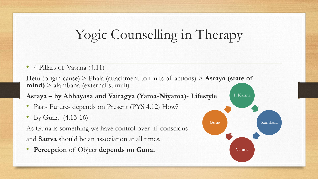## Yogic Counselling in Therapy

• 4 Pillars of Vasana (4.11)

Hetu (origin cause) > Phala (attachment to fruits of actions) > **Asraya (state of mind)** > alambana (external stimuli)

**Asraya – by Abhayasa and Vairagya (Yama-Niyama)- Lifestyle**

- Past- Future- depends on Present (PYS 4.12) How?
- By Guna- (4.13-16)

As Guna is something we have control over if consciousand **Sattva** should be an association at all times.

• **Perception** of Object **depends on Guna.**

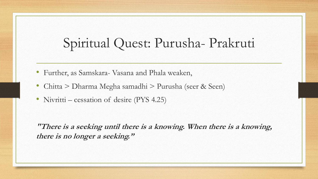## Spiritual Quest: Purusha- Prakruti

- Further, as Samskara- Vasana and Phala weaken,
- Chitta > Dharma Megha samadhi > Purusha (seer & Seen)
- Nivritti cessation of desire (PYS 4.25)

**"There is a seeking until there is a knowing. When there is a knowing, there is no longer a seeking."**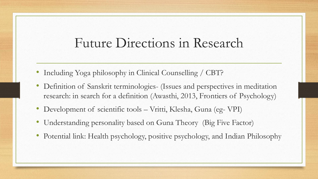#### Future Directions in Research

- Including Yoga philosophy in Clinical Counselling / CBT?
- Definition of Sanskrit terminologies- (Issues and perspectives in meditation research: in search for a definition (Awasthi, 2013, Frontiers of Psychology)
- Development of scientific tools Vritti, Klesha, Guna (eg- VPI)
- Understanding personality based on Guna Theory (Big Five Factor)
- Potential link: Health psychology, positive psychology, and Indian Philosophy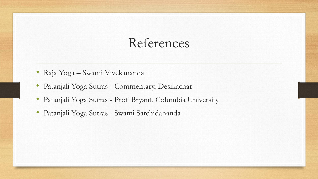### References

- Raja Yoga Swami Vivekananda
- Patanjali Yoga Sutras Commentary, Desikachar
- Patanjali Yoga Sutras Prof Bryant, Columbia University
- Patanjali Yoga Sutras Swami Satchidananda